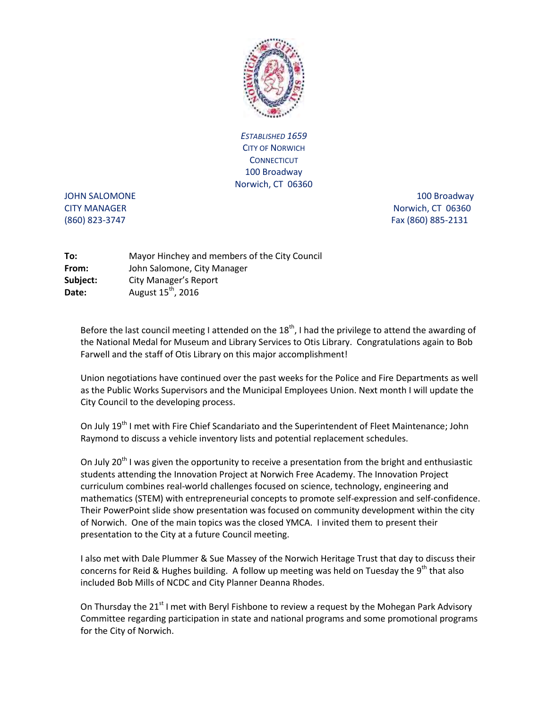

*ESTABLISHED 1659*  CITY OF NORWICH **CONNECTICUT** 100 Broadway Norwich, CT 06360

JOHN SALOMONE 2000 100 Broadway 300 Broadway CITY MANAGER Norwich, CT 06360 (860) 823-3747 Fax (860) 885-2131

| To:      | Mayor Hinchey and members of the City Council |
|----------|-----------------------------------------------|
| From:    | John Salomone, City Manager                   |
| Subject: | City Manager's Report                         |
| Date:    | August 15 <sup>th</sup> , 2016                |

Before the last council meeting I attended on the  $18<sup>th</sup>$ , I had the privilege to attend the awarding of the National Medal for Museum and Library Services to Otis Library. Congratulations again to Bob Farwell and the staff of Otis Library on this major accomplishment!

Union negotiations have continued over the past weeks for the Police and Fire Departments as well as the Public Works Supervisors and the Municipal Employees Union. Next month I will update the City Council to the developing process.

On July 19<sup>th</sup> I met with Fire Chief Scandariato and the Superintendent of Fleet Maintenance; John Raymond to discuss a vehicle inventory lists and potential replacement schedules.

On July 20<sup>th</sup> I was given the opportunity to receive a presentation from the bright and enthusiastic students attending the Innovation Project at Norwich Free Academy. The Innovation Project curriculum combines real-world challenges focused on science, technology, engineering and mathematics (STEM) with entrepreneurial concepts to promote self-expression and self-confidence. Their PowerPoint slide show presentation was focused on community development within the city of Norwich. One of the main topics was the closed YMCA. I invited them to present their presentation to the City at a future Council meeting.

I also met with Dale Plummer & Sue Massey of the Norwich Heritage Trust that day to discuss their concerns for Reid & Hughes building. A follow up meeting was held on Tuesday the  $9<sup>th</sup>$  that also included Bob Mills of NCDC and City Planner Deanna Rhodes.

On Thursday the 21<sup>st</sup> I met with Beryl Fishbone to review a request by the Mohegan Park Advisory Committee regarding participation in state and national programs and some promotional programs for the City of Norwich.